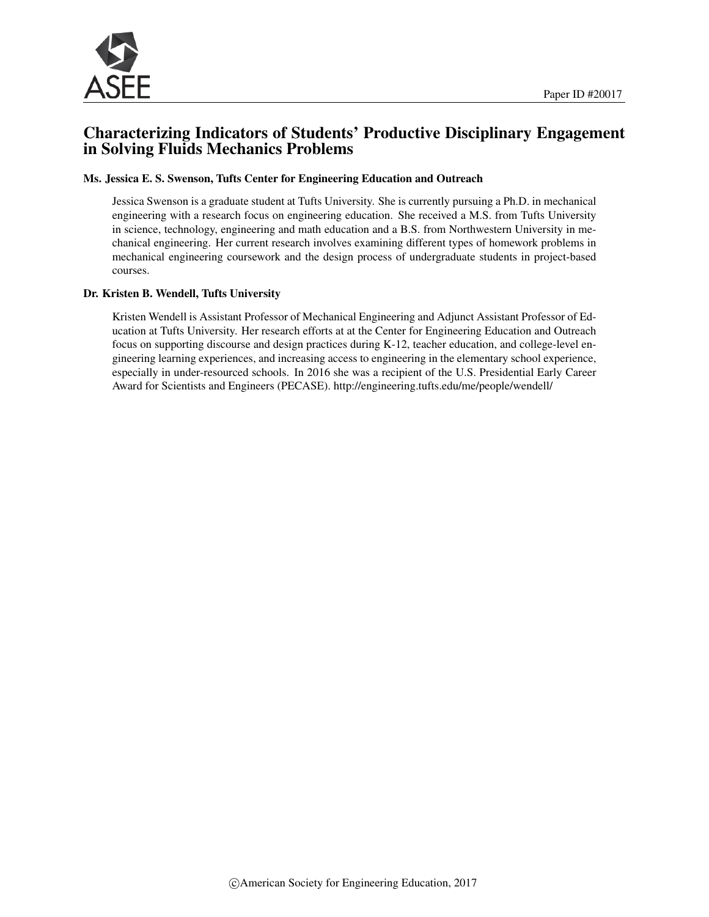

# Characterizing Indicators of Students' Productive Disciplinary Engagement in Solving Fluids Mechanics Problems

#### Ms. Jessica E. S. Swenson, Tufts Center for Engineering Education and Outreach

Jessica Swenson is a graduate student at Tufts University. She is currently pursuing a Ph.D. in mechanical engineering with a research focus on engineering education. She received a M.S. from Tufts University in science, technology, engineering and math education and a B.S. from Northwestern University in mechanical engineering. Her current research involves examining different types of homework problems in mechanical engineering coursework and the design process of undergraduate students in project-based courses.

#### Dr. Kristen B. Wendell, Tufts University

Kristen Wendell is Assistant Professor of Mechanical Engineering and Adjunct Assistant Professor of Education at Tufts University. Her research efforts at at the Center for Engineering Education and Outreach focus on supporting discourse and design practices during K-12, teacher education, and college-level engineering learning experiences, and increasing access to engineering in the elementary school experience, especially in under-resourced schools. In 2016 she was a recipient of the U.S. Presidential Early Career Award for Scientists and Engineers (PECASE). http://engineering.tufts.edu/me/people/wendell/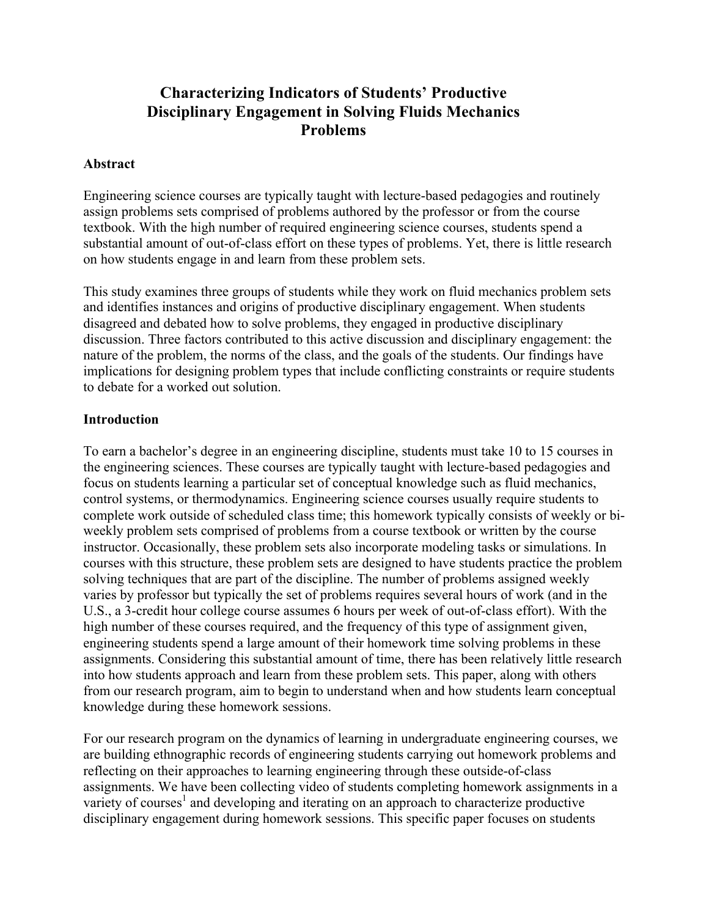# **Characterizing Indicators of Students' Productive Disciplinary Engagement in Solving Fluids Mechanics Problems**

#### **Abstract**

Engineering science courses are typically taught with lecture-based pedagogies and routinely assign problems sets comprised of problems authored by the professor or from the course textbook. With the high number of required engineering science courses, students spend a substantial amount of out-of-class effort on these types of problems. Yet, there is little research on how students engage in and learn from these problem sets.

This study examines three groups of students while they work on fluid mechanics problem sets and identifies instances and origins of productive disciplinary engagement. When students disagreed and debated how to solve problems, they engaged in productive disciplinary discussion. Three factors contributed to this active discussion and disciplinary engagement: the nature of the problem, the norms of the class, and the goals of the students. Our findings have implications for designing problem types that include conflicting constraints or require students to debate for a worked out solution.

#### **Introduction**

To earn a bachelor's degree in an engineering discipline, students must take 10 to 15 courses in the engineering sciences. These courses are typically taught with lecture-based pedagogies and focus on students learning a particular set of conceptual knowledge such as fluid mechanics, control systems, or thermodynamics. Engineering science courses usually require students to complete work outside of scheduled class time; this homework typically consists of weekly or biweekly problem sets comprised of problems from a course textbook or written by the course instructor. Occasionally, these problem sets also incorporate modeling tasks or simulations. In courses with this structure, these problem sets are designed to have students practice the problem solving techniques that are part of the discipline. The number of problems assigned weekly varies by professor but typically the set of problems requires several hours of work (and in the U.S., a 3-credit hour college course assumes 6 hours per week of out-of-class effort). With the high number of these courses required, and the frequency of this type of assignment given, engineering students spend a large amount of their homework time solving problems in these assignments. Considering this substantial amount of time, there has been relatively little research into how students approach and learn from these problem sets. This paper, along with others from our research program, aim to begin to understand when and how students learn conceptual knowledge during these homework sessions.

For our research program on the dynamics of learning in undergraduate engineering courses, we are building ethnographic records of engineering students carrying out homework problems and reflecting on their approaches to learning engineering through these outside-of-class assignments. We have been collecting video of students completing homework assignments in a variety of courses<sup>1</sup> and developing and iterating on an approach to characterize productive disciplinary engagement during homework sessions. This specific paper focuses on students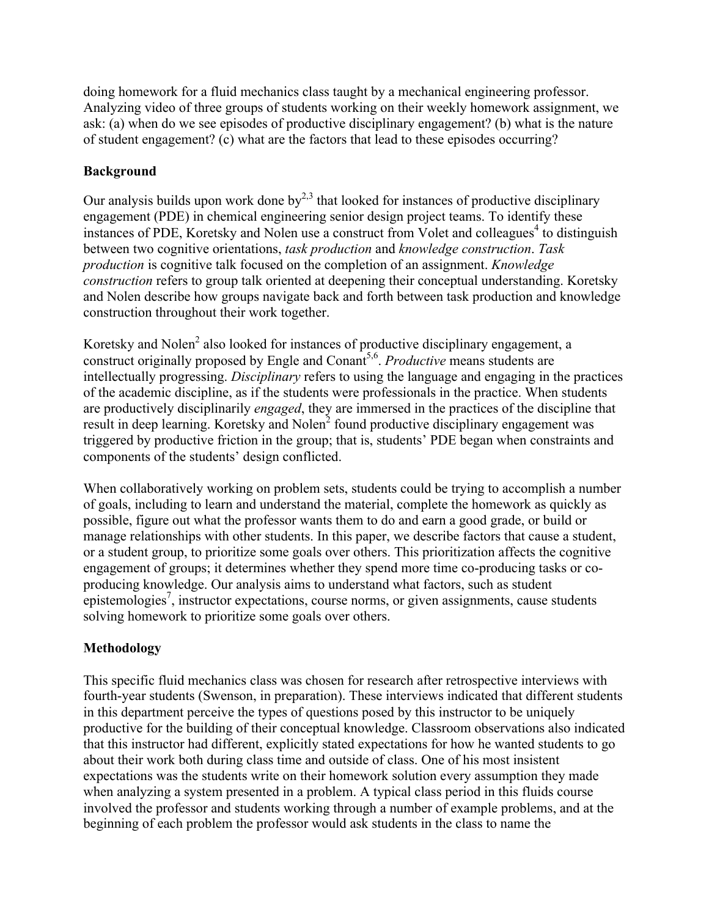doing homework for a fluid mechanics class taught by a mechanical engineering professor. Analyzing video of three groups of students working on their weekly homework assignment, we ask: (a) when do we see episodes of productive disciplinary engagement? (b) what is the nature of student engagement? (c) what are the factors that lead to these episodes occurring?

# **Background**

Our analysis builds upon work done by<sup>2,3</sup> that looked for instances of productive disciplinary engagement (PDE) in chemical engineering senior design project teams. To identify these instances of PDE, Koretsky and Nolen use a construct from Volet and colleagues<sup>4</sup> to distinguish between two cognitive orientations, *task production* and *knowledge construction*. *Task production* is cognitive talk focused on the completion of an assignment. *Knowledge construction* refers to group talk oriented at deepening their conceptual understanding. Koretsky and Nolen describe how groups navigate back and forth between task production and knowledge construction throughout their work together.

Koretsky and Nolen<sup>2</sup> also looked for instances of productive disciplinary engagement, a construct originally proposed by Engle and Conant<sup>5,6</sup>. *Productive* means students are intellectually progressing. *Disciplinary* refers to using the language and engaging in the practices of the academic discipline, as if the students were professionals in the practice. When students are productively disciplinarily *engaged*, they are immersed in the practices of the discipline that result in deep learning. Koretsky and Nolen<sup>2</sup> found productive disciplinary engagement was triggered by productive friction in the group; that is, students' PDE began when constraints and components of the students' design conflicted.

When collaboratively working on problem sets, students could be trying to accomplish a number of goals, including to learn and understand the material, complete the homework as quickly as possible, figure out what the professor wants them to do and earn a good grade, or build or manage relationships with other students. In this paper, we describe factors that cause a student, or a student group, to prioritize some goals over others. This prioritization affects the cognitive engagement of groups; it determines whether they spend more time co-producing tasks or coproducing knowledge. Our analysis aims to understand what factors, such as student  $\epsilon$  epistemologies<sup>7</sup>, instructor expectations, course norms, or given assignments, cause students solving homework to prioritize some goals over others.

## **Methodology**

This specific fluid mechanics class was chosen for research after retrospective interviews with fourth-year students (Swenson, in preparation). These interviews indicated that different students in this department perceive the types of questions posed by this instructor to be uniquely productive for the building of their conceptual knowledge. Classroom observations also indicated that this instructor had different, explicitly stated expectations for how he wanted students to go about their work both during class time and outside of class. One of his most insistent expectations was the students write on their homework solution every assumption they made when analyzing a system presented in a problem. A typical class period in this fluids course involved the professor and students working through a number of example problems, and at the beginning of each problem the professor would ask students in the class to name the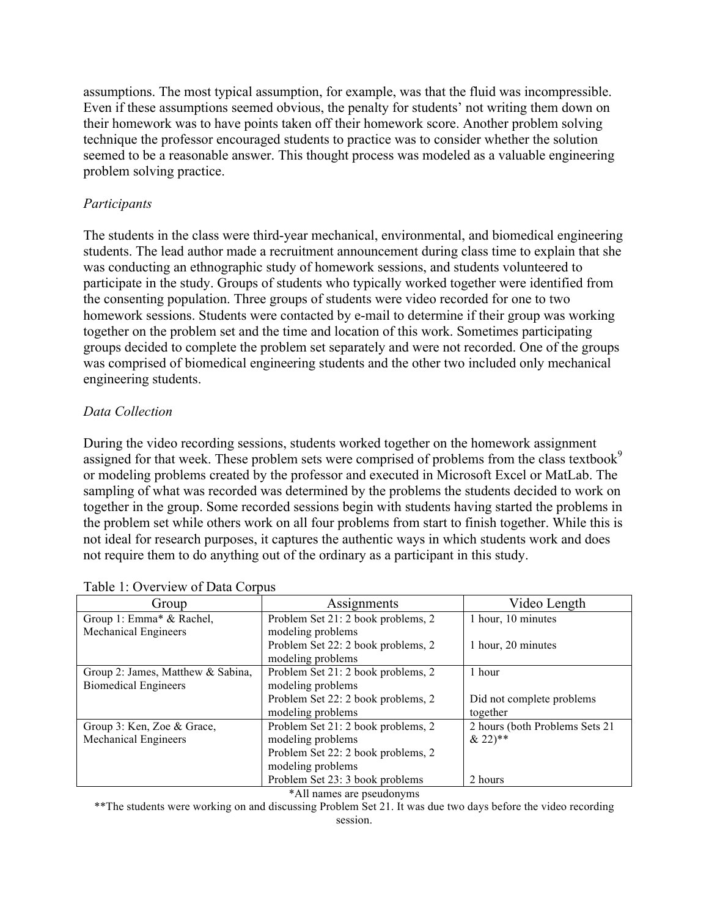assumptions. The most typical assumption, for example, was that the fluid was incompressible. Even if these assumptions seemed obvious, the penalty for students' not writing them down on their homework was to have points taken off their homework score. Another problem solving technique the professor encouraged students to practice was to consider whether the solution seemed to be a reasonable answer. This thought process was modeled as a valuable engineering problem solving practice.

#### *Participants*

The students in the class were third-year mechanical, environmental, and biomedical engineering students. The lead author made a recruitment announcement during class time to explain that she was conducting an ethnographic study of homework sessions, and students volunteered to participate in the study. Groups of students who typically worked together were identified from the consenting population. Three groups of students were video recorded for one to two homework sessions. Students were contacted by e-mail to determine if their group was working together on the problem set and the time and location of this work. Sometimes participating groups decided to complete the problem set separately and were not recorded. One of the groups was comprised of biomedical engineering students and the other two included only mechanical engineering students.

#### *Data Collection*

During the video recording sessions, students worked together on the homework assignment assigned for that week. These problem sets were comprised of problems from the class textbook<sup>9</sup> or modeling problems created by the professor and executed in Microsoft Excel or MatLab. The sampling of what was recorded was determined by the problems the students decided to work on together in the group. Some recorded sessions begin with students having started the problems in the problem set while others work on all four problems from start to finish together. While this is not ideal for research purposes, it captures the authentic ways in which students work and does not require them to do anything out of the ordinary as a participant in this study.

| Group                             | Assignments                        | Video Length                    |  |  |  |
|-----------------------------------|------------------------------------|---------------------------------|--|--|--|
| Group 1: Emma* & Rachel,          | Problem Set 21: 2 book problems, 2 | 1 hour, 10 minutes              |  |  |  |
| Mechanical Engineers              | modeling problems                  |                                 |  |  |  |
|                                   | Problem Set 22: 2 book problems, 2 | 1 hour, 20 minutes              |  |  |  |
|                                   | modeling problems                  |                                 |  |  |  |
| Group 2: James, Matthew & Sabina, | Problem Set 21: 2 book problems, 2 | 1 hour                          |  |  |  |
| <b>Biomedical Engineers</b>       | modeling problems                  |                                 |  |  |  |
|                                   | Problem Set 22: 2 book problems, 2 | Did not complete problems       |  |  |  |
|                                   | modeling problems                  | together                        |  |  |  |
| Group 3: Ken, Zoe & Grace,        | Problem Set 21: 2 book problems, 2 | 2 hours (both Problems Sets 21) |  |  |  |
| Mechanical Engineers              | modeling problems                  | $& 22$ <sup>**</sup>            |  |  |  |
|                                   | Problem Set 22: 2 book problems, 2 |                                 |  |  |  |
|                                   | modeling problems                  |                                 |  |  |  |
|                                   | Problem Set 23: 3 book problems    | 2 hours                         |  |  |  |

#### Table 1: Overview of Data Corpus

\*All names are pseudonyms

\*\*The students were working on and discussing Problem Set 21. It was due two days before the video recording session.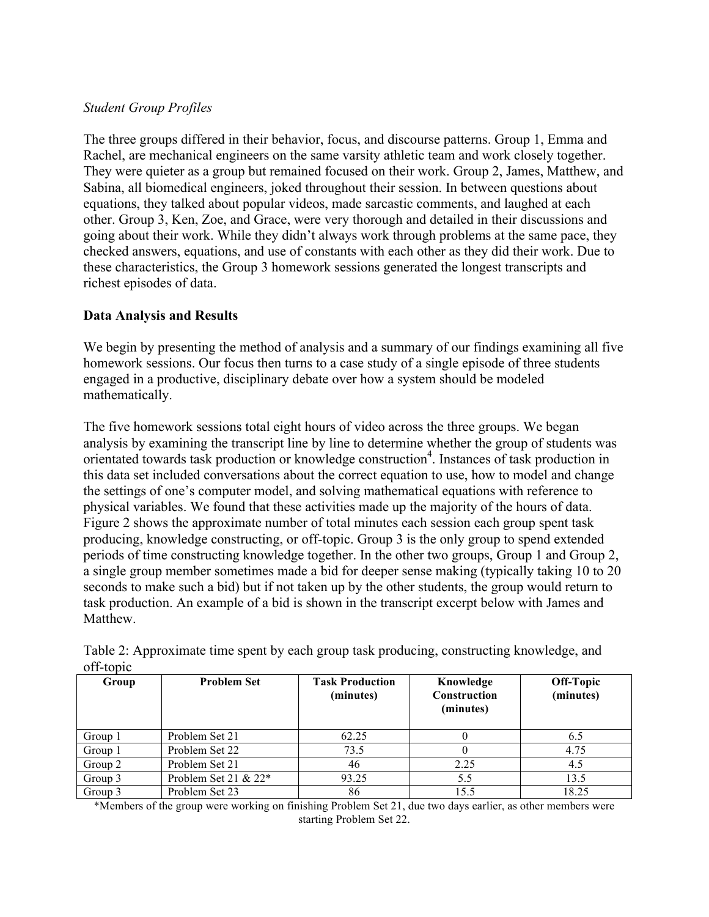#### *Student Group Profiles*

The three groups differed in their behavior, focus, and discourse patterns. Group 1, Emma and Rachel, are mechanical engineers on the same varsity athletic team and work closely together. They were quieter as a group but remained focused on their work. Group 2, James, Matthew, and Sabina, all biomedical engineers, joked throughout their session. In between questions about equations, they talked about popular videos, made sarcastic comments, and laughed at each other. Group 3, Ken, Zoe, and Grace, were very thorough and detailed in their discussions and going about their work. While they didn't always work through problems at the same pace, they checked answers, equations, and use of constants with each other as they did their work. Due to these characteristics, the Group 3 homework sessions generated the longest transcripts and richest episodes of data.

#### **Data Analysis and Results**

We begin by presenting the method of analysis and a summary of our findings examining all five homework sessions. Our focus then turns to a case study of a single episode of three students engaged in a productive, disciplinary debate over how a system should be modeled mathematically.

The five homework sessions total eight hours of video across the three groups. We began analysis by examining the transcript line by line to determine whether the group of students was orientated towards task production or knowledge construction<sup>4</sup>. Instances of task production in this data set included conversations about the correct equation to use, how to model and change the settings of one's computer model, and solving mathematical equations with reference to physical variables. We found that these activities made up the majority of the hours of data. Figure 2 shows the approximate number of total minutes each session each group spent task producing, knowledge constructing, or off-topic. Group 3 is the only group to spend extended periods of time constructing knowledge together. In the other two groups, Group 1 and Group 2, a single group member sometimes made a bid for deeper sense making (typically taking 10 to 20 seconds to make such a bid) but if not taken up by the other students, the group would return to task production. An example of a bid is shown in the transcript excerpt below with James and Matthew.

| Group   | <b>Problem Set</b>     | <b>Task Production</b><br>(minutes) | Knowledge<br><b>Construction</b><br>(minutes) | Off-Topic<br>(minutes) |
|---------|------------------------|-------------------------------------|-----------------------------------------------|------------------------|
| Group 1 | Problem Set 21         | 62.25                               |                                               | 6.5                    |
| Group 1 | Problem Set 22         | 73.5                                |                                               | 4.75                   |
| Group 2 | Problem Set 21         | 46                                  | 2.25                                          | 4.5                    |
| Group 3 | Problem Set 21 & $22*$ | 93.25                               | 5.5                                           | 13.5                   |
| Group 3 | Problem Set 23         | 86                                  | 15.5                                          | 18.25                  |

Table 2: Approximate time spent by each group task producing, constructing knowledge, and off-topic

\*Members of the group were working on finishing Problem Set 21, due two days earlier, as other members were starting Problem Set 22.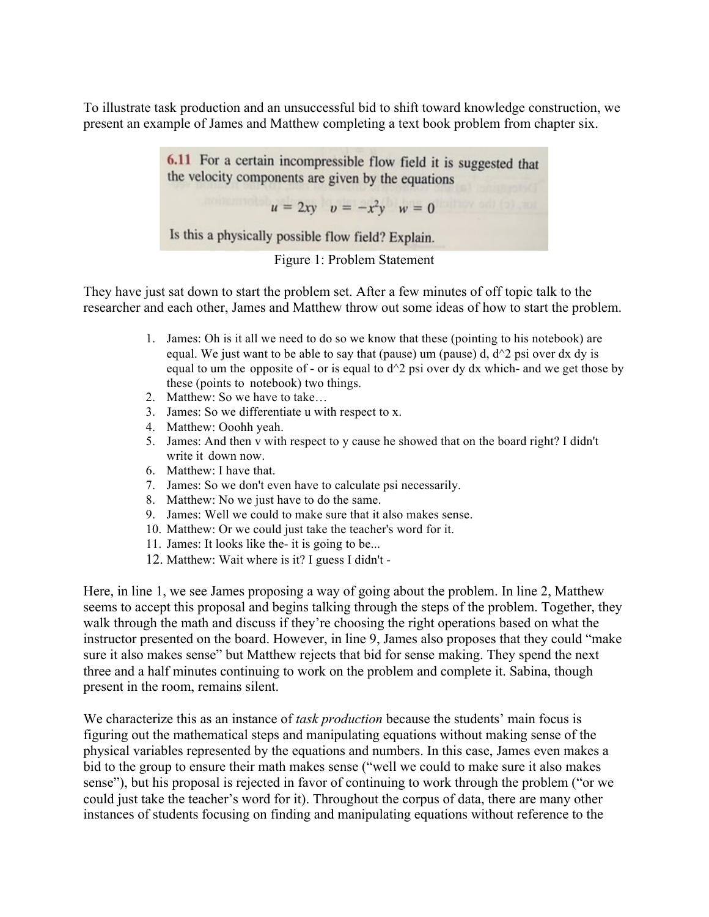To illustrate task production and an unsuccessful bid to shift toward knowledge construction, we present an example of James and Matthew completing a text book problem from chapter six.

> 6.11 For a certain incompressible flow field it is suggested that the velocity components are given by the equations

> > $u = 2xy$   $v = -x^2y$   $w = 0$

Is this a physically possible flow field? Explain.



They have just sat down to start the problem set. After a few minutes of off topic talk to the researcher and each other, James and Matthew throw out some ideas of how to start the problem.

- 1. James: Oh is it all we need to do so we know that these (pointing to his notebook) are equal. We just want to be able to say that (pause) um (pause) d,  $d^2$  psi over dx dy is equal to um the opposite of - or is equal to  $d^2$  psi over dy dx which- and we get those by these (points to notebook) two things.
- 2. Matthew: So we have to take…
- 3. James: So we differentiate u with respect to x.
- 4. Matthew: Ooohh yeah.
- 5. James: And then v with respect to y cause he showed that on the board right? I didn't write it down now.
- 6. Matthew: I have that.
- 7. James: So we don't even have to calculate psi necessarily.
- 8. Matthew: No we just have to do the same.
- 9. James: Well we could to make sure that it also makes sense.
- 10. Matthew: Or we could just take the teacher's word for it.
- 11. James: It looks like the- it is going to be...
- 12. Matthew: Wait where is it? I guess I didn't -

Here, in line 1, we see James proposing a way of going about the problem. In line 2, Matthew seems to accept this proposal and begins talking through the steps of the problem. Together, they walk through the math and discuss if they're choosing the right operations based on what the instructor presented on the board. However, in line 9, James also proposes that they could "make sure it also makes sense" but Matthew rejects that bid for sense making. They spend the next three and a half minutes continuing to work on the problem and complete it. Sabina, though present in the room, remains silent.

We characterize this as an instance of *task production* because the students' main focus is figuring out the mathematical steps and manipulating equations without making sense of the physical variables represented by the equations and numbers. In this case, James even makes a bid to the group to ensure their math makes sense ("well we could to make sure it also makes sense"), but his proposal is rejected in favor of continuing to work through the problem ("or we could just take the teacher's word for it). Throughout the corpus of data, there are many other instances of students focusing on finding and manipulating equations without reference to the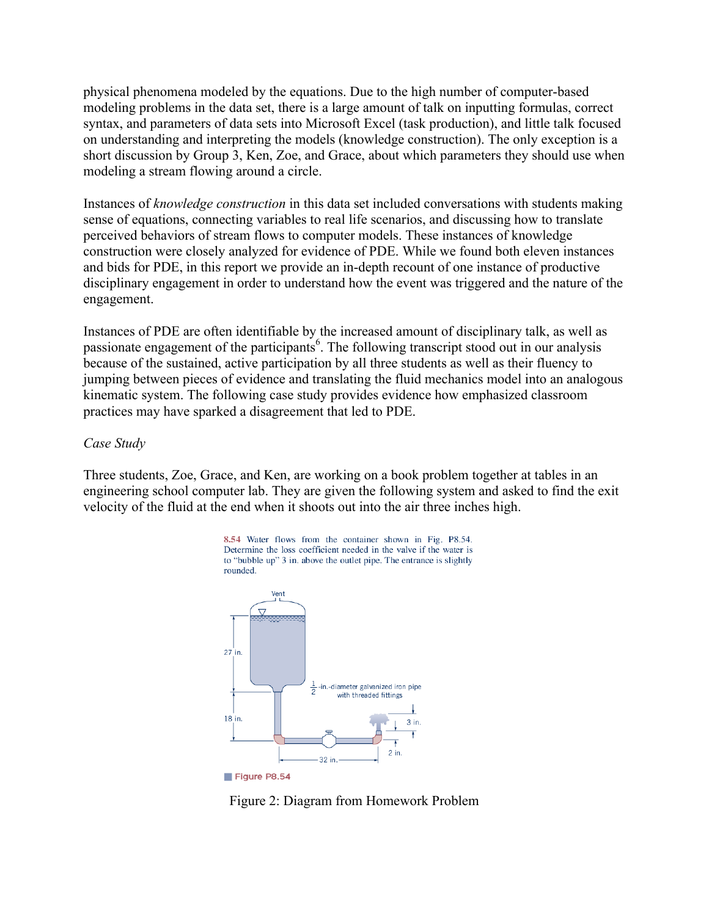physical phenomena modeled by the equations. Due to the high number of computer-based modeling problems in the data set, there is a large amount of talk on inputting formulas, correct syntax, and parameters of data sets into Microsoft Excel (task production), and little talk focused on understanding and interpreting the models (knowledge construction). The only exception is a short discussion by Group 3, Ken, Zoe, and Grace, about which parameters they should use when modeling a stream flowing around a circle.

Instances of *knowledge construction* in this data set included conversations with students making sense of equations, connecting variables to real life scenarios, and discussing how to translate perceived behaviors of stream flows to computer models. These instances of knowledge construction were closely analyzed for evidence of PDE. While we found both eleven instances and bids for PDE, in this report we provide an in-depth recount of one instance of productive disciplinary engagement in order to understand how the event was triggered and the nature of the engagement.

Instances of PDE are often identifiable by the increased amount of disciplinary talk, as well as passionate engagement of the participants<sup>6</sup>. The following transcript stood out in our analysis because of the sustained, active participation by all three students as well as their fluency to jumping between pieces of evidence and translating the fluid mechanics model into an analogous kinematic system. The following case study provides evidence how emphasized classroom practices may have sparked a disagreement that led to PDE.

#### *Case Study*

Three students, Zoe, Grace, and Ken, are working on a book problem together at tables in an engineering school computer lab. They are given the following system and asked to find the exit velocity of the fluid at the end when it shoots out into the air three inches high.



Figure 2: Diagram from Homework Problem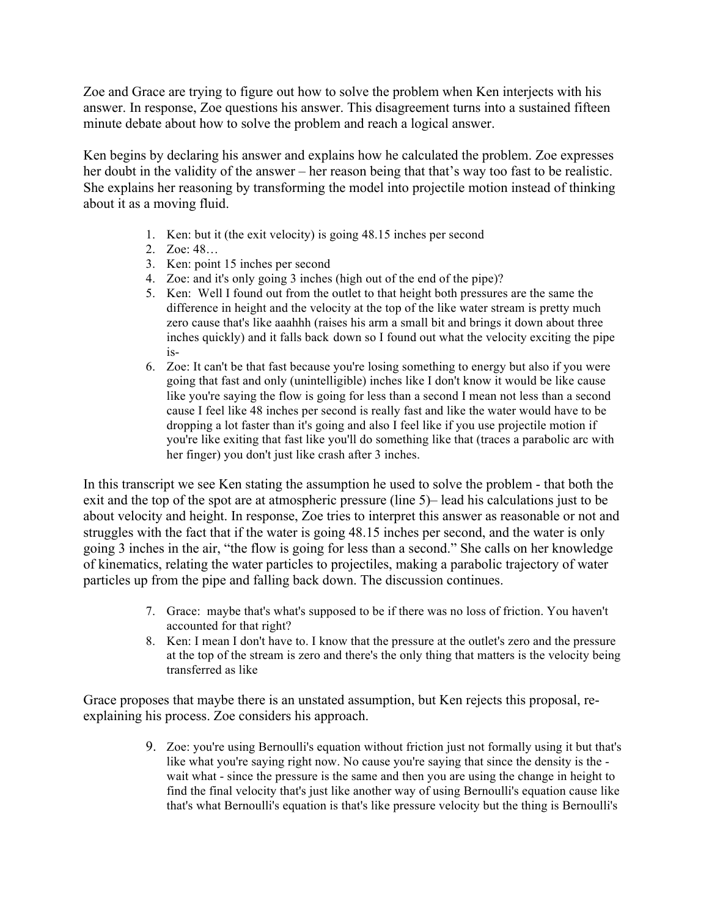Zoe and Grace are trying to figure out how to solve the problem when Ken interjects with his answer. In response, Zoe questions his answer. This disagreement turns into a sustained fifteen minute debate about how to solve the problem and reach a logical answer.

Ken begins by declaring his answer and explains how he calculated the problem. Zoe expresses her doubt in the validity of the answer – her reason being that that's way too fast to be realistic. She explains her reasoning by transforming the model into projectile motion instead of thinking about it as a moving fluid.

- 1. Ken: but it (the exit velocity) is going 48.15 inches per second
- 2. Zoe: 48…
- 3. Ken: point 15 inches per second
- 4. Zoe: and it's only going 3 inches (high out of the end of the pipe)?
- 5. Ken: Well I found out from the outlet to that height both pressures are the same the difference in height and the velocity at the top of the like water stream is pretty much zero cause that's like aaahhh (raises his arm a small bit and brings it down about three inches quickly) and it falls back down so I found out what the velocity exciting the pipe is-
- 6. Zoe: It can't be that fast because you're losing something to energy but also if you were going that fast and only (unintelligible) inches like I don't know it would be like cause like you're saying the flow is going for less than a second I mean not less than a second cause I feel like 48 inches per second is really fast and like the water would have to be dropping a lot faster than it's going and also I feel like if you use projectile motion if you're like exiting that fast like you'll do something like that (traces a parabolic arc with her finger) you don't just like crash after 3 inches.

In this transcript we see Ken stating the assumption he used to solve the problem - that both the exit and the top of the spot are at atmospheric pressure (line 5)– lead his calculations just to be about velocity and height. In response, Zoe tries to interpret this answer as reasonable or not and struggles with the fact that if the water is going 48.15 inches per second, and the water is only going 3 inches in the air, "the flow is going for less than a second." She calls on her knowledge of kinematics, relating the water particles to projectiles, making a parabolic trajectory of water particles up from the pipe and falling back down. The discussion continues.

- 7. Grace: maybe that's what's supposed to be if there was no loss of friction. You haven't accounted for that right?
- 8. Ken: I mean I don't have to. I know that the pressure at the outlet's zero and the pressure at the top of the stream is zero and there's the only thing that matters is the velocity being transferred as like

Grace proposes that maybe there is an unstated assumption, but Ken rejects this proposal, reexplaining his process. Zoe considers his approach.

> 9. Zoe: you're using Bernoulli's equation without friction just not formally using it but that's like what you're saying right now. No cause you're saying that since the density is the wait what - since the pressure is the same and then you are using the change in height to find the final velocity that's just like another way of using Bernoulli's equation cause like that's what Bernoulli's equation is that's like pressure velocity but the thing is Bernoulli's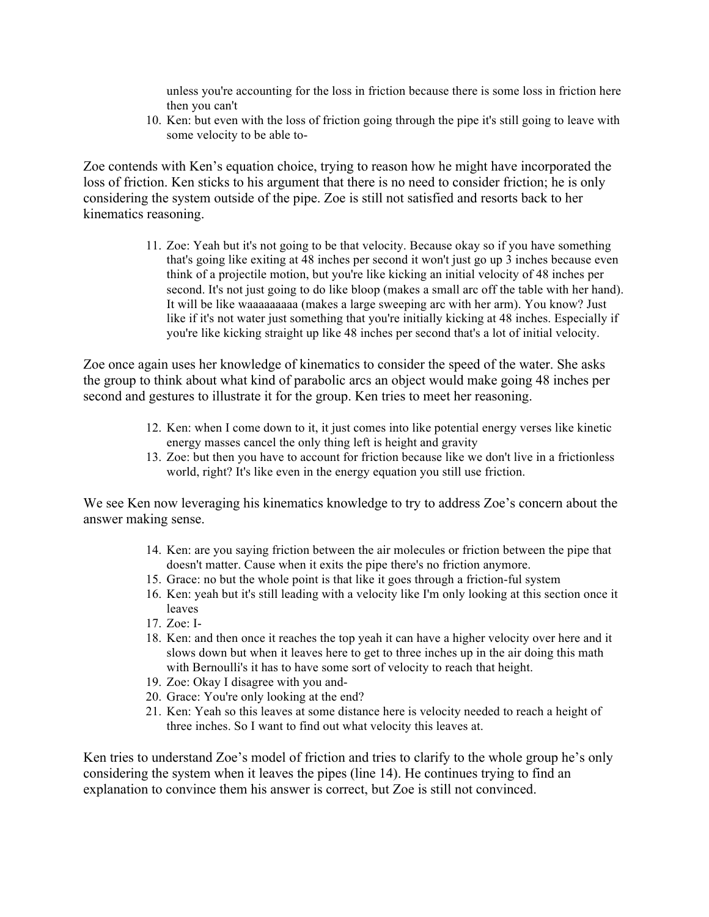unless you're accounting for the loss in friction because there is some loss in friction here then you can't

10. Ken: but even with the loss of friction going through the pipe it's still going to leave with some velocity to be able to-

Zoe contends with Ken's equation choice, trying to reason how he might have incorporated the loss of friction. Ken sticks to his argument that there is no need to consider friction; he is only considering the system outside of the pipe. Zoe is still not satisfied and resorts back to her kinematics reasoning.

> 11. Zoe: Yeah but it's not going to be that velocity. Because okay so if you have something that's going like exiting at 48 inches per second it won't just go up 3 inches because even think of a projectile motion, but you're like kicking an initial velocity of 48 inches per second. It's not just going to do like bloop (makes a small arc off the table with her hand). It will be like waaaaaaaaa (makes a large sweeping arc with her arm). You know? Just like if it's not water just something that you're initially kicking at 48 inches. Especially if you're like kicking straight up like 48 inches per second that's a lot of initial velocity.

Zoe once again uses her knowledge of kinematics to consider the speed of the water. She asks the group to think about what kind of parabolic arcs an object would make going 48 inches per second and gestures to illustrate it for the group. Ken tries to meet her reasoning.

- 12. Ken: when I come down to it, it just comes into like potential energy verses like kinetic energy masses cancel the only thing left is height and gravity
- 13. Zoe: but then you have to account for friction because like we don't live in a frictionless world, right? It's like even in the energy equation you still use friction.

We see Ken now leveraging his kinematics knowledge to try to address Zoe's concern about the answer making sense.

- 14. Ken: are you saying friction between the air molecules or friction between the pipe that doesn't matter. Cause when it exits the pipe there's no friction anymore.
- 15. Grace: no but the whole point is that like it goes through a friction-ful system
- 16. Ken: yeah but it's still leading with a velocity like I'm only looking at this section once it leaves
- 17. Zoe: I-
- 18. Ken: and then once it reaches the top yeah it can have a higher velocity over here and it slows down but when it leaves here to get to three inches up in the air doing this math with Bernoulli's it has to have some sort of velocity to reach that height.
- 19. Zoe: Okay I disagree with you and-
- 20. Grace: You're only looking at the end?
- 21. Ken: Yeah so this leaves at some distance here is velocity needed to reach a height of three inches. So I want to find out what velocity this leaves at.

Ken tries to understand Zoe's model of friction and tries to clarify to the whole group he's only considering the system when it leaves the pipes (line 14). He continues trying to find an explanation to convince them his answer is correct, but Zoe is still not convinced.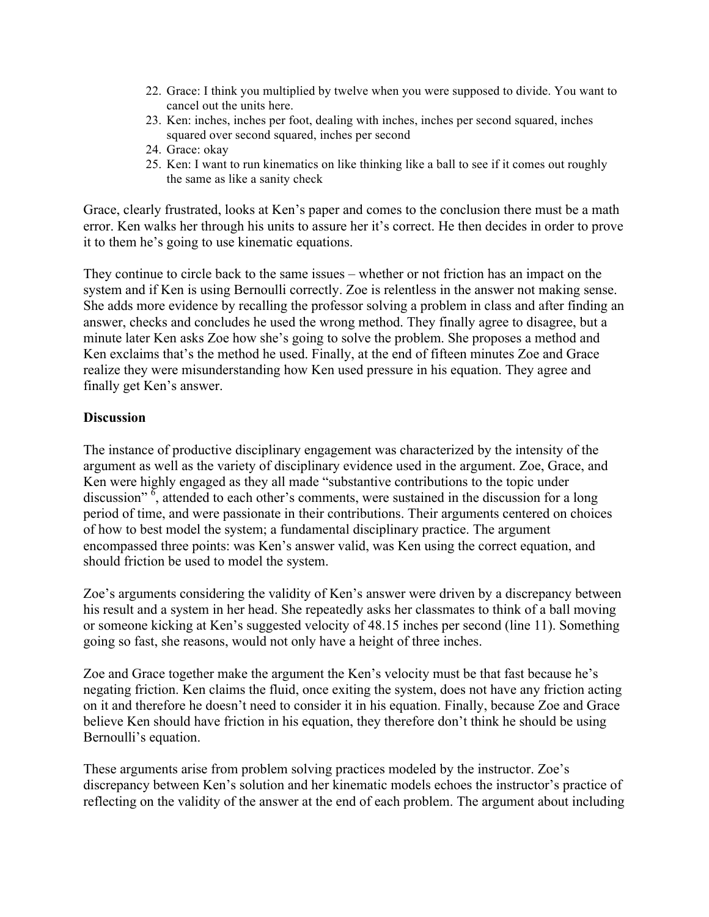- 22. Grace: I think you multiplied by twelve when you were supposed to divide. You want to cancel out the units here.
- 23. Ken: inches, inches per foot, dealing with inches, inches per second squared, inches squared over second squared, inches per second
- 24. Grace: okay
- 25. Ken: I want to run kinematics on like thinking like a ball to see if it comes out roughly the same as like a sanity check

Grace, clearly frustrated, looks at Ken's paper and comes to the conclusion there must be a math error. Ken walks her through his units to assure her it's correct. He then decides in order to prove it to them he's going to use kinematic equations.

They continue to circle back to the same issues – whether or not friction has an impact on the system and if Ken is using Bernoulli correctly. Zoe is relentless in the answer not making sense. She adds more evidence by recalling the professor solving a problem in class and after finding an answer, checks and concludes he used the wrong method. They finally agree to disagree, but a minute later Ken asks Zoe how she's going to solve the problem. She proposes a method and Ken exclaims that's the method he used. Finally, at the end of fifteen minutes Zoe and Grace realize they were misunderstanding how Ken used pressure in his equation. They agree and finally get Ken's answer.

#### **Discussion**

The instance of productive disciplinary engagement was characterized by the intensity of the argument as well as the variety of disciplinary evidence used in the argument. Zoe, Grace, and Ken were highly engaged as they all made "substantive contributions to the topic under discussion"<sup>6</sup>, attended to each other's comments, were sustained in the discussion for a long period of time, and were passionate in their contributions. Their arguments centered on choices of how to best model the system; a fundamental disciplinary practice. The argument encompassed three points: was Ken's answer valid, was Ken using the correct equation, and should friction be used to model the system.

Zoe's arguments considering the validity of Ken's answer were driven by a discrepancy between his result and a system in her head. She repeatedly asks her classmates to think of a ball moving or someone kicking at Ken's suggested velocity of 48.15 inches per second (line 11). Something going so fast, she reasons, would not only have a height of three inches.

Zoe and Grace together make the argument the Ken's velocity must be that fast because he's negating friction. Ken claims the fluid, once exiting the system, does not have any friction acting on it and therefore he doesn't need to consider it in his equation. Finally, because Zoe and Grace believe Ken should have friction in his equation, they therefore don't think he should be using Bernoulli's equation.

These arguments arise from problem solving practices modeled by the instructor. Zoe's discrepancy between Ken's solution and her kinematic models echoes the instructor's practice of reflecting on the validity of the answer at the end of each problem. The argument about including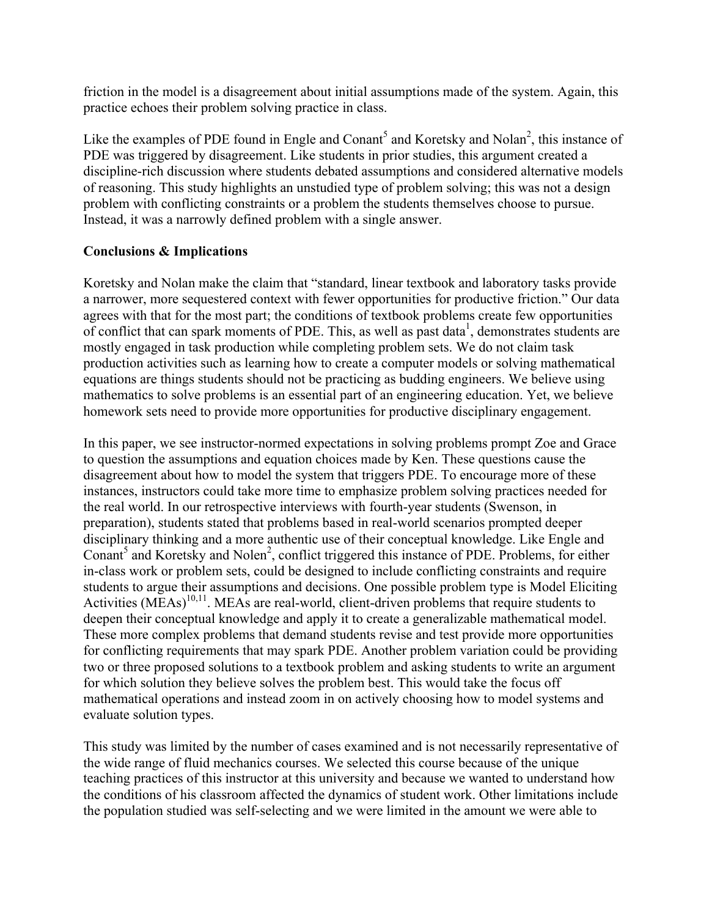friction in the model is a disagreement about initial assumptions made of the system. Again, this practice echoes their problem solving practice in class.

Like the examples of PDE found in Engle and Conant<sup>5</sup> and Koretsky and Nolan<sup>2</sup>, this instance of PDE was triggered by disagreement. Like students in prior studies, this argument created a discipline-rich discussion where students debated assumptions and considered alternative models of reasoning. This study highlights an unstudied type of problem solving; this was not a design problem with conflicting constraints or a problem the students themselves choose to pursue. Instead, it was a narrowly defined problem with a single answer.

## **Conclusions & Implications**

Koretsky and Nolan make the claim that "standard, linear textbook and laboratory tasks provide a narrower, more sequestered context with fewer opportunities for productive friction." Our data agrees with that for the most part; the conditions of textbook problems create few opportunities of conflict that can spark moments of PDE. This, as well as past data<sup>1</sup>, demonstrates students are mostly engaged in task production while completing problem sets. We do not claim task production activities such as learning how to create a computer models or solving mathematical equations are things students should not be practicing as budding engineers. We believe using mathematics to solve problems is an essential part of an engineering education. Yet, we believe homework sets need to provide more opportunities for productive disciplinary engagement.

In this paper, we see instructor-normed expectations in solving problems prompt Zoe and Grace to question the assumptions and equation choices made by Ken. These questions cause the disagreement about how to model the system that triggers PDE. To encourage more of these instances, instructors could take more time to emphasize problem solving practices needed for the real world. In our retrospective interviews with fourth-year students (Swenson, in preparation), students stated that problems based in real-world scenarios prompted deeper disciplinary thinking and a more authentic use of their conceptual knowledge. Like Engle and Conant<sup>5</sup> and Koretsky and Nolen<sup>2</sup>, conflict triggered this instance of PDE. Problems, for either in-class work or problem sets, could be designed to include conflicting constraints and require students to argue their assumptions and decisions. One possible problem type is Model Eliciting Activities  $(MEAs)^{10,11}$ . MEAs are real-world, client-driven problems that require students to deepen their conceptual knowledge and apply it to create a generalizable mathematical model. These more complex problems that demand students revise and test provide more opportunities for conflicting requirements that may spark PDE. Another problem variation could be providing two or three proposed solutions to a textbook problem and asking students to write an argument for which solution they believe solves the problem best. This would take the focus off mathematical operations and instead zoom in on actively choosing how to model systems and evaluate solution types.

This study was limited by the number of cases examined and is not necessarily representative of the wide range of fluid mechanics courses. We selected this course because of the unique teaching practices of this instructor at this university and because we wanted to understand how the conditions of his classroom affected the dynamics of student work. Other limitations include the population studied was self-selecting and we were limited in the amount we were able to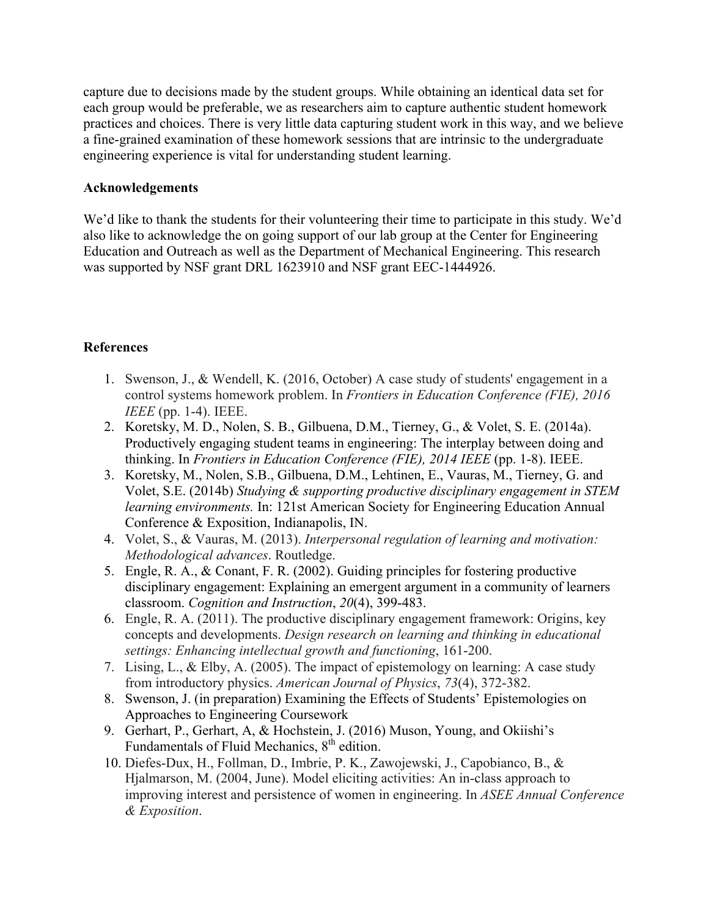capture due to decisions made by the student groups. While obtaining an identical data set for each group would be preferable, we as researchers aim to capture authentic student homework practices and choices. There is very little data capturing student work in this way, and we believe a fine-grained examination of these homework sessions that are intrinsic to the undergraduate engineering experience is vital for understanding student learning.

#### **Acknowledgements**

We'd like to thank the students for their volunteering their time to participate in this study. We'd also like to acknowledge the on going support of our lab group at the Center for Engineering Education and Outreach as well as the Department of Mechanical Engineering. This research was supported by NSF grant DRL 1623910 and NSF grant EEC-1444926.

## **References**

- 1. Swenson, J., & Wendell, K. (2016, October) A case study of students' engagement in a control systems homework problem. In *Frontiers in Education Conference (FIE), 2016 IEEE* (pp. 1-4). IEEE.
- 2. Koretsky, M. D., Nolen, S. B., Gilbuena, D.M., Tierney, G., & Volet, S. E. (2014a). Productively engaging student teams in engineering: The interplay between doing and thinking. In *Frontiers in Education Conference (FIE), 2014 IEEE* (pp. 1-8). IEEE.
- 3. Koretsky, M., Nolen, S.B., Gilbuena, D.M., Lehtinen, E., Vauras, M., Tierney, G. and Volet, S.E. (2014b) *Studying & supporting productive disciplinary engagement in STEM learning environments.* In: 121st American Society for Engineering Education Annual Conference & Exposition, Indianapolis, IN.
- 4. Volet, S., & Vauras, M. (2013). *Interpersonal regulation of learning and motivation: Methodological advances*. Routledge.
- 5. Engle, R. A., & Conant, F. R. (2002). Guiding principles for fostering productive disciplinary engagement: Explaining an emergent argument in a community of learners classroom. *Cognition and Instruction*, *20*(4), 399-483.
- 6. Engle, R. A. (2011). The productive disciplinary engagement framework: Origins, key concepts and developments. *Design research on learning and thinking in educational settings: Enhancing intellectual growth and functioning*, 161-200.
- 7. Lising, L., & Elby, A. (2005). The impact of epistemology on learning: A case study from introductory physics. *American Journal of Physics*, *73*(4), 372-382.
- 8. Swenson, J. (in preparation) Examining the Effects of Students' Epistemologies on Approaches to Engineering Coursework
- 9. Gerhart, P., Gerhart, A, & Hochstein, J. (2016) Muson, Young, and Okiishi's Fundamentals of Fluid Mechanics,  $8<sup>th</sup>$  edition.
- 10. Diefes-Dux, H., Follman, D., Imbrie, P. K., Zawojewski, J., Capobianco, B., & Hjalmarson, M. (2004, June). Model eliciting activities: An in-class approach to improving interest and persistence of women in engineering. In *ASEE Annual Conference & Exposition*.